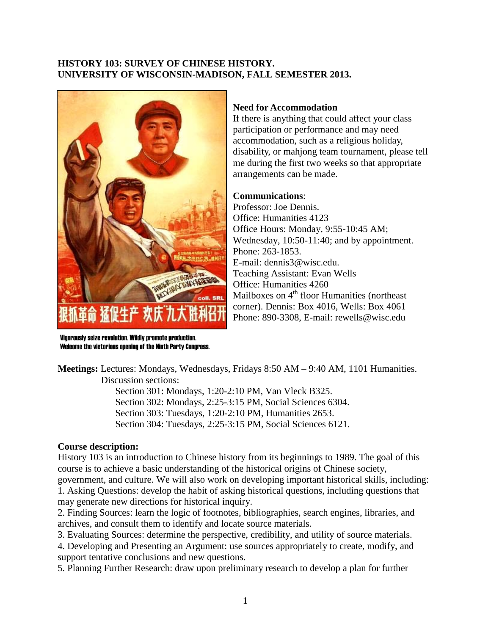# **HISTORY 103: SURVEY OF CHINESE HISTORY. UNIVERSITY OF WISCONSIN-MADISON, FALL SEMESTER 2013.**



Vigorously seize revolution. Wildly promote production. Welcome the victorious opening of the Ninth Party Congress.

# **Need for Accommodation**

If there is anything that could affect your class participation or performance and may need accommodation, such as a religious holiday, disability, or mahjong team tournament, please tell me during the first two weeks so that appropriate arrangements can be made.

### **Communications**:

Professor: Joe Dennis. Office: Humanities 4123 Office Hours: Monday, 9:55-10:45 AM; Wednesday, 10:50-11:40; and by appointment. Phone: 263-1853. E-mail: dennis3@wisc.edu. Teaching Assistant: Evan Wells Office: Humanities 4260 Mailboxes on  $4<sup>th</sup>$  floor Humanities (northeast corner). Dennis: Box 4016, Wells: Box 4061 Phone: 890-3308, E-mail: rewells@wisc.edu

**Meetings:** Lectures: Mondays, Wednesdays, Fridays 8:50 AM – 9:40 AM, 1101 Humanities. Discussion sections:

> Section 301: Mondays, 1:20-2:10 PM, Van Vleck B325. Section 302: Mondays, 2:25-3:15 PM, Social Sciences 6304. Section 303: Tuesdays, 1:20-2:10 PM, Humanities 2653. Section 304: Tuesdays, 2:25-3:15 PM, Social Sciences 6121.

# **Course description:**

History 103 is an introduction to Chinese history from its beginnings to 1989. The goal of this course is to achieve a basic understanding of the historical origins of Chinese society, government, and culture. We will also work on developing important historical skills, including: 1. Asking Questions: develop the habit of asking historical questions, including questions that may generate new directions for historical inquiry.

2. Finding Sources: learn the logic of footnotes, bibliographies, search engines, libraries, and archives, and consult them to identify and locate source materials.

3. Evaluating Sources: determine the perspective, credibility, and utility of source materials.

4. Developing and Presenting an Argument: use sources appropriately to create, modify, and support tentative conclusions and new questions.

5. Planning Further Research: draw upon preliminary research to develop a plan for further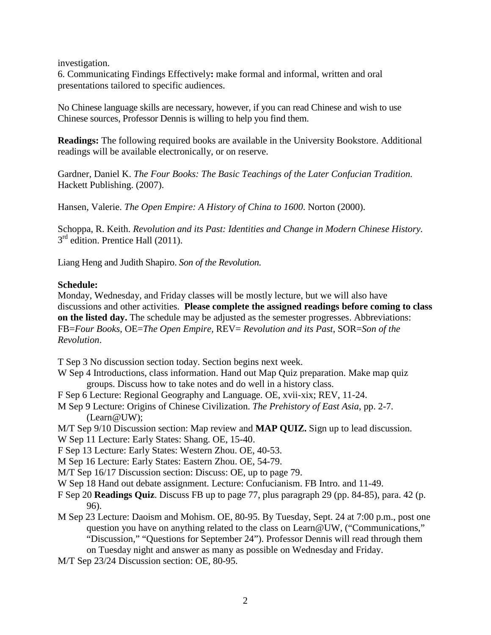investigation.

6. Communicating Findings Effectively**:** make formal and informal, written and oral presentations tailored to specific audiences.

No Chinese language skills are necessary, however, if you can read Chinese and wish to use Chinese sources, Professor Dennis is willing to help you find them.

**Readings:** The following required books are available in the University Bookstore. Additional readings will be available electronically, or on reserve.

[Gardner,](http://www.amazon.com/s/ref=ntt_athr_dp_sr_1?_encoding=UTF8&field-author=Daniel%20K.%20Gardner&search-alias=books&sort=relevancerank) Daniel K. *The Four Books: The Basic Teachings of the Later Confucian Tradition.*  Hackett Publishing. (2007).

Hansen, Valerie. *The Open Empire: A History of China to 1600*. Norton (2000).

Schoppa, R. Keith. *Revolution and its Past: Identities and Change in Modern Chinese History.*   $3<sup>rd</sup>$  edition. Prentice Hall (2011).

Liang Heng and Judith Shapiro. *Son of the Revolution.*

# **Schedule:**

Monday, Wednesday, and Friday classes will be mostly lecture, but we will also have discussions and other activities. **Please complete the assigned readings before coming to class on the listed day.** The schedule may be adjusted as the semester progresses. Abbreviations: FB=*Four Books*, OE=*The Open Empire,* REV= *Revolution and its Past*, SOR=*Son of the Revolution*.

T Sep 3 No discussion section today. Section begins next week.

- W Sep 4 Introductions, class information. Hand out Map Quiz preparation. Make map quiz groups. Discuss how to take notes and do well in a history class.
- F Sep 6 Lecture: Regional Geography and Language. OE, xvii-xix; REV, 11-24.
- M Sep 9 Lecture: Origins of Chinese Civilization. *The Prehistory of East Asia*, pp. 2-7. (Learn@UW);
- M/T Sep 9/10 Discussion section: Map review and **MAP QUIZ.** Sign up to lead discussion.
- W Sep 11 Lecture: Early States: Shang. OE, 15-40.

F Sep 13 Lecture: Early States: Western Zhou. OE, 40-53.

M Sep 16 Lecture: Early States: Eastern Zhou. OE, 54-79.

M/T Sep 16/17 Discussion section: Discuss: OE, up to page 79.

W Sep 18 Hand out debate assignment. Lecture: Confucianism. FB Intro. and 11-49.

- F Sep 20 **Readings Quiz**. Discuss FB up to page 77, plus paragraph 29 (pp. 84-85), para. 42 (p. 96).
- M Sep 23 Lecture: Daoism and Mohism. OE, 80-95. By Tuesday, Sept. 24 at 7:00 p.m., post one question you have on anything related to the class on Learn@UW, ("Communications," "Discussion," "Questions for September 24"). Professor Dennis will read through them on Tuesday night and answer as many as possible on Wednesday and Friday.
- M/T Sep 23/24 Discussion section: OE, 80-95.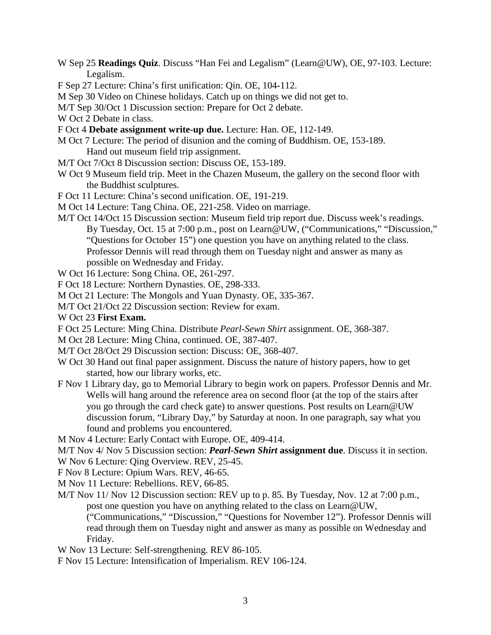- W Sep 25 **Readings Quiz**. Discuss "Han Fei and Legalism" (Learn@UW), OE, 97-103. Lecture: Legalism.
- F Sep 27 Lecture: China's first unification: Qin. OE, 104-112.
- M Sep 30 Video on Chinese holidays. Catch up on things we did not get to.
- M/T Sep 30/Oct 1 Discussion section: Prepare for Oct 2 debate.
- W Oct 2 Debate in class.
- F Oct 4 **Debate assignment write-up due.** Lecture: Han. OE, 112-149.
- M Oct 7 Lecture: The period of disunion and the coming of Buddhism. OE, 153-189.
	- Hand out museum field trip assignment.
- M/T Oct 7/Oct 8 Discussion section: Discuss OE, 153-189.
- W Oct 9 Museum field trip. Meet in the Chazen Museum, the gallery on the second floor with the Buddhist sculptures.
- F Oct 11 Lecture: China's second unification. OE, 191-219.
- M Oct 14 Lecture: Tang China. OE, 221-258. Video on marriage.
- M/T Oct 14/Oct 15 Discussion section: Museum field trip report due. Discuss week's readings. By Tuesday, Oct. 15 at 7:00 p.m., post on Learn@UW, ("Communications," "Discussion," "Questions for October 15") one question you have on anything related to the class. Professor Dennis will read through them on Tuesday night and answer as many as possible on Wednesday and Friday.
- W Oct 16 Lecture: Song China. OE, 261-297.
- F Oct 18 Lecture: Northern Dynasties. OE, 298-333.
- M Oct 21 Lecture: The Mongols and Yuan Dynasty. OE, 335-367.
- M/T Oct 21/Oct 22 Discussion section: Review for exam.
- W Oct 23 **First Exam.**
- F Oct 25 Lecture: Ming China. Distribute *Pearl-Sewn Shirt* assignment. OE, 368-387.
- M Oct 28 Lecture: Ming China, continued. OE, 387-407.
- M/T Oct 28/Oct 29 Discussion section: Discuss: OE, 368-407.
- W Oct 30 Hand out final paper assignment. Discuss the nature of history papers, how to get started, how our library works, etc.
- F Nov 1 Library day, go to Memorial Library to begin work on papers. Professor Dennis and Mr. Wells will hang around the reference area on second floor (at the top of the stairs after you go through the card check gate) to answer questions. Post results on Learn@UW discussion forum, "Library Day," by Saturday at noon. In one paragraph, say what you found and problems you encountered.
- M Nov 4 Lecture: Early Contact with Europe. OE, 409-414.
- M/T Nov 4/ Nov 5 Discussion section: *Pearl-Sewn Shirt* **assignment due**. Discuss it in section.
- W Nov 6 Lecture: Qing Overview. REV, 25-45.
- F Nov 8 Lecture: Opium Wars. REV, 46-65.
- M Nov 11 Lecture: Rebellions. REV, 66-85.
- M/T Nov 11/ Nov 12 Discussion section: REV up to p. 85. By Tuesday, Nov. 12 at 7:00 p.m., post one question you have on anything related to the class on Learn@UW, ("Communications," "Discussion," "Questions for November 12"). Professor Dennis will read through them on Tuesday night and answer as many as possible on Wednesday and Friday.
- W Nov 13 Lecture: Self-strengthening. REV 86-105.
- F Nov 15 Lecture: Intensification of Imperialism. REV 106-124.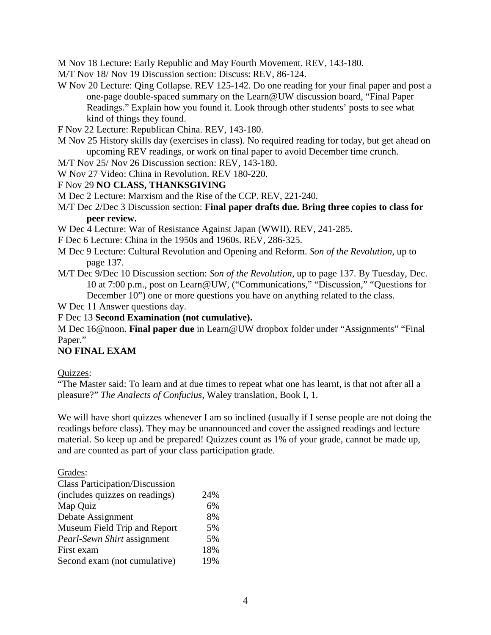M Nov 18 Lecture: Early Republic and May Fourth Movement. REV, 143-180.

M/T Nov 18/ Nov 19 Discussion section: Discuss: REV, 86-124.

- W Nov 20 Lecture: Qing Collapse. REV 125-142. Do one reading for your final paper and post a one-page double-spaced summary on the Learn@UW discussion board, "Final Paper Readings." Explain how you found it. Look through other students' posts to see what kind of things they found.
- F Nov 22 Lecture: Republican China. REV, 143-180.
- M Nov 25 History skills day (exercises in class). No required reading for today, but get ahead on upcoming REV readings, or work on final paper to avoid December time crunch.
- M/T Nov 25/ Nov 26 Discussion section: REV, 143-180.
- W Nov 27 Video: China in Revolution. REV 180-220.

### F Nov 29 **NO CLASS, THANKSGIVING**

M Dec 2 Lecture: Marxism and the Rise of the CCP. REV, 221-240.

### M/T Dec 2/Dec 3 Discussion section: **Final paper drafts due. Bring three copies to class for peer review.**

W Dec 4 Lecture: War of Resistance Against Japan (WWII). REV, 241-285.

- F Dec 6 Lecture: China in the 1950s and 1960s. REV, 286-325.
- M Dec 9 Lecture: Cultural Revolution and Opening and Reform. *Son of the Revolution*, up to page 137.
- M/T Dec 9/Dec 10 Discussion section: *Son of the Revolution*, up to page 137. By Tuesday, Dec. 10 at 7:00 p.m., post on Learn@UW, ("Communications," "Discussion," "Questions for December 10") one or more questions you have on anything related to the class.

W Dec 11 Answer questions day.

# F Dec 13 **Second Examination (not cumulative).**

M Dec 16@noon. **Final paper due** in Learn@UW dropbox folder under "Assignments" "Final Paper."

### **NO FINAL EXAM**

Quizzes:

"The Master said: To learn and at due times to repeat what one has learnt, is that not after all a pleasure?" *The Analects of Confucius*, Waley translation, Book I, 1.

We will have short quizzes whenever I am so inclined (usually if I sense people are not doing the readings before class). They may be unannounced and cover the assigned readings and lecture material. So keep up and be prepared! Quizzes count as 1% of your grade, cannot be made up, and are counted as part of your class participation grade.

Grades:

| 24% |
|-----|
| 6%  |
| 8%  |
| 5%  |
| 5%  |
| 18% |
| 19% |
|     |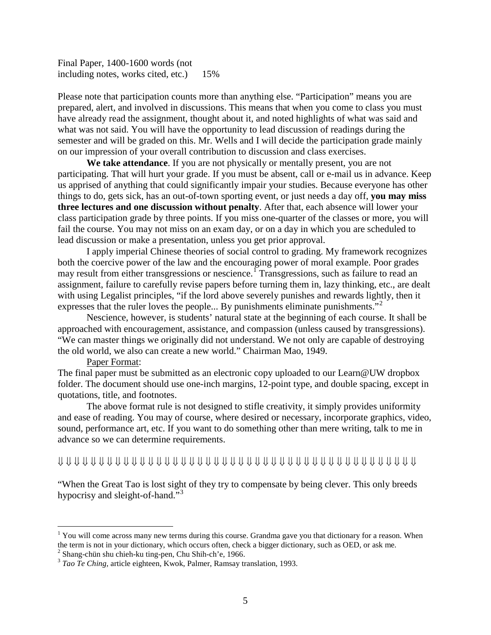Final Paper, 1400-1600 words (not including notes, works cited, etc.) 15%

Please note that participation counts more than anything else. "Participation" means you are prepared, alert, and involved in discussions. This means that when you come to class you must have already read the assignment, thought about it, and noted highlights of what was said and what was not said. You will have the opportunity to lead discussion of readings during the semester and will be graded on this. Mr. Wells and I will decide the participation grade mainly on our impression of your overall contribution to discussion and class exercises.

**We take attendance**. If you are not physically or mentally present, you are not participating. That will hurt your grade. If you must be absent, call or e-mail us in advance. Keep us apprised of anything that could significantly impair your studies. Because everyone has other things to do, gets sick, has an out-of-town sporting event, or just needs a day off, **you may miss three lectures and one discussion without penalty**. After that, each absence will lower your class participation grade by three points. If you miss one-quarter of the classes or more, you will fail the course. You may not miss on an exam day, or on a day in which you are scheduled to lead discussion or make a presentation, unless you get prior approval.

I apply imperial Chinese theories of social control to grading. My framework recognizes both the coercive power of the law and the encouraging power of moral example. Poor grades may result from either transgressions or nescience.<sup>[1](#page-4-0)</sup> Transgressions, such as failure to read an assignment, failure to carefully revise papers before turning them in, lazy thinking, etc., are dealt with using Legalist principles, "if the lord above severely punishes and rewards lightly, then it expresses that the ruler loves the people... By punishments eliminate punishments."<sup>[2](#page-4-1)</sup>

Nescience, however, is students' natural state at the beginning of each course. It shall be approached with encouragement, assistance, and compassion (unless caused by transgressions). "We can master things we originally did not understand. We not only are capable of destroying the old world, we also can create a new world." Chairman Mao, 1949.

#### Paper Format:

The final paper must be submitted as an electronic copy uploaded to our Learn@UW dropbox folder. The document should use one-inch margins, 12-point type, and double spacing, except in quotations, title, and footnotes.

The above format rule is not designed to stifle creativity, it simply provides uniformity and ease of reading. You may of course, where desired or necessary, incorporate graphics, video, sound, performance art, etc. If you want to do something other than mere writing, talk to me in advance so we can determine requirements.

### ⇓ ⇓ ⇓ ⇓ ⇓ ⇓ ⇓ ⇓ ⇓ ⇓ ⇓ ⇓ ⇓ ⇓ ⇓ ⇓ ⇓ ⇓ ⇓ ⇓ ⇓ ⇓ ⇓ ⇓ ⇓ ⇓ ⇓ ⇓ ⇓ ⇓ ⇓ ⇓ ⇓ ⇓ ⇓ ⇓ ⇓ ⇓ ⇓ ⇓ ⇓ ⇓ ⇓ ⇓

"When the Great Tao is lost sight of they try to compensate by being clever. This only breeds hypocrisy and sleight-of-hand."<sup>[3](#page-4-2)</sup>

<span id="page-4-0"></span><sup>&</sup>lt;sup>1</sup> You will come across many new terms during this course. Grandma gave you that dictionary for a reason. When the term is not in your dictionary, which occurs often, check a bigger dictionary, such as OED, or ask me.<br><sup>2</sup> Shang-chün shu chieh-ku ting-pen, Chu Shih-ch'e, 1966.

<span id="page-4-2"></span><span id="page-4-1"></span><sup>&</sup>lt;sup>3</sup> Tao Te Ching, article eighteen, Kwok, Palmer, Ramsay translation, 1993.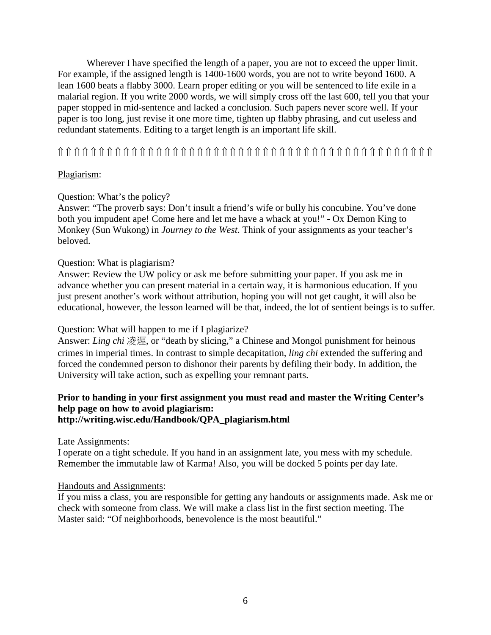Wherever I have specified the length of a paper, you are not to exceed the upper limit. For example, if the assigned length is 1400-1600 words, you are not to write beyond 1600. A lean 1600 beats a flabby 3000. Learn proper editing or you will be sentenced to life exile in a malarial region. If you write 2000 words, we will simply cross off the last 600, tell you that your paper stopped in mid-sentence and lacked a conclusion. Such papers never score well. If your paper is too long, just revise it one more time, tighten up flabby phrasing, and cut useless and redundant statements. Editing to a target length is an important life skill.

⇑ ⇑ ⇑ ⇑ ⇑ ⇑ ⇑ ⇑ ⇑ ⇑ ⇑ ⇑ ⇑ ⇑ ⇑ ⇑ ⇑ ⇑ ⇑ ⇑ ⇑ ⇑ ⇑ ⇑ ⇑ ⇑ ⇑ ⇑ ⇑ ⇑ ⇑ ⇑ ⇑ ⇑ ⇑ ⇑ ⇑ ⇑ ⇑ ⇑ ⇑ ⇑ ⇑ ⇑ ⇑ ⇑

# Plagiarism:

# Question: What's the policy?

Answer: "The proverb says: Don't insult a friend's wife or bully his concubine. You've done both you impudent ape! Come here and let me have a whack at you!" - Ox Demon King to Monkey (Sun Wukong) in *Journey to the West*. Think of your assignments as your teacher's beloved.

# Question: What is plagiarism?

Answer: Review the UW policy or ask me before submitting your paper. If you ask me in advance whether you can present material in a certain way, it is harmonious education. If you just present another's work without attribution, hoping you will not get caught, it will also be educational, however, the lesson learned will be that, indeed, the lot of sentient beings is to suffer.

### Question: What will happen to me if I plagiarize?

Answer: *Ling chi* 凌遲, or "death by slicing," a Chinese and Mongol punishment for heinous crimes in imperial times. In contrast to simple decapitation, *ling chi* extended the suffering and forced the condemned person to dishonor their parents by defiling their body. In addition, the University will take action, such as expelling your remnant parts.

### **Prior to handing in your first assignment you must read and master the Writing Center's help page on how to avoid plagiarism: http://writing.wisc.edu/Handbook/QPA\_plagiarism.html**

Late Assignments:

I operate on a tight schedule. If you hand in an assignment late, you mess with my schedule. Remember the immutable law of Karma! Also, you will be docked 5 points per day late.

### Handouts and Assignments:

If you miss a class, you are responsible for getting any handouts or assignments made. Ask me or check with someone from class. We will make a class list in the first section meeting. The Master said: "Of neighborhoods, benevolence is the most beautiful."